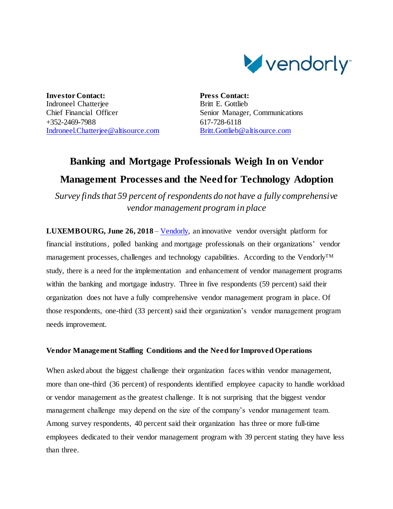

**Investor Contact:** Indroneel Chatterjee Chief Financial Officer +352-2469-7988 [Indroneel.Chatterjee@altisource.com](mailto:Indroneel.Chatterjee@altisource.com) **Press Contact:** Britt E. Gottlieb Senior Manager, Communications 617-728-6118 [Britt.Gottlieb@altisource.com](mailto:Britt.Gottlieb@altisource.com)

# **Banking and Mortgage Professionals Weigh In on Vendor Management Processes and the Need for Technology Adoption**

*Survey finds that 59 percent of respondents do not have a fully comprehensive vendor management program in place*

**LUXEMBOURG, June 26, 2018** – [Vendorly,](https://www.vendorly.com/?utm_campaign=VendorManagementSurvey&utm_source=PR&utm_medium=PR&utm_content=first) an innovative vendor oversight platform for financial institutions, polled banking and mortgage professionals on their organizations' vendor management processes, challenges and technology capabilities. According to the VendorlyTM study, there is a need for the implementation and enhancement of vendor management programs within the banking and mortgage industry. Three in five respondents (59 percent) said their organization does not have a fully comprehensive vendor management program in place. Of those respondents, one-third (33 percent) said their organization's vendor management program needs improvement.

# **Vendor Management Staffing Conditions and the Need for Improved Operations**

When asked about the biggest challenge their organization faces within vendor management, more than one-third (36 percent) of respondents identified employee capacity to handle workload or vendor management as the greatest challenge. It is not surprising that the biggest vendor management challenge may depend on the size of the company's vendor management team. Among survey respondents, 40 percent said their organization has three or more full-time employees dedicated to their vendor management program with 39 percent stating they have less than three.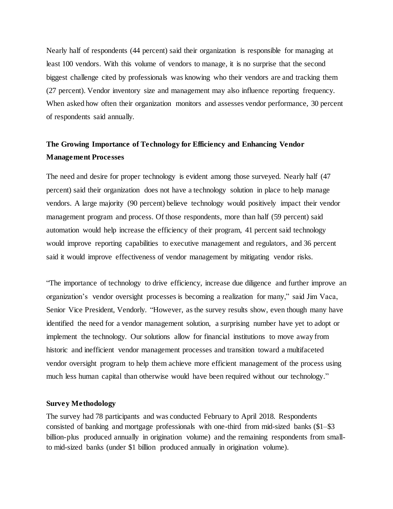Nearly half of respondents (44 percent) said their organization is responsible for managing at least 100 vendors. With this volume of vendors to manage, it is no surprise that the second biggest challenge cited by professionals was knowing who their vendors are and tracking them (27 percent). Vendor inventory size and management may also influence reporting frequency. When asked how often their organization monitors and assesses vendor performance, 30 percent of respondents said annually.

# **The Growing Importance of Technology for Efficiency and Enhancing Vendor Management Processes**

The need and desire for proper technology is evident among those surveyed. Nearly half (47 percent) said their organization does not have a technology solution in place to help manage vendors. A large majority (90 percent) believe technology would positively impact their vendor management program and process. Of those respondents, more than half (59 percent) said automation would help increase the efficiency of their program, 41 percent said technology would improve reporting capabilities to executive management and regulators, and 36 percent said it would improve effectiveness of vendor management by mitigating vendor risks.

"The importance of technology to drive efficiency, increase due diligence and further improve an organization's vendor oversight processes is becoming a realization for many," said Jim Vaca, Senior Vice President, Vendorly. "However, as the survey results show, even though many have identified the need for a vendor management solution, a surprising number have yet to adopt or implement the technology. Our solutions allow for financial institutions to move away from historic and inefficient vendor management processes and transition toward a multifaceted vendor oversight program to help them achieve more efficient management of the process using much less human capital than otherwise would have been required without our technology."

#### **Survey Methodology**

The survey had 78 participants and was conducted February to April 2018. Respondents consisted of banking and mortgage professionals with one-third from mid-sized banks (\$1–\$3 billion-plus produced annually in origination volume) and the remaining respondents from smallto mid-sized banks (under \$1 billion produced annually in origination volume).